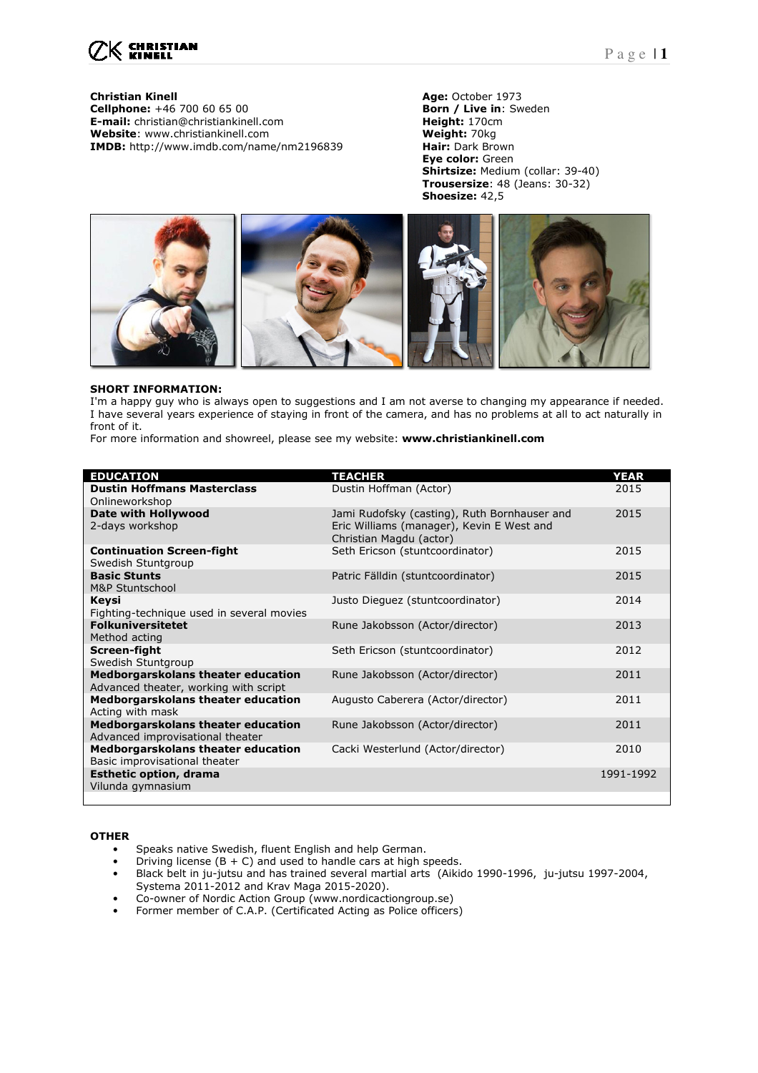

**Christian Kinell 1998 Christian Kinell Age:** October 1973<br> **Cellphone:** +46 700 60 65 00 **Born / Live in**: Sweden **Cellphone:** +46 700 60 65 00 **Born / Live in: Born / Live in:** Special Community **Born / Live in:** Special Community **Born / Live** in: **E-mail:** christian@christiankinell.com **Height:** 170cm<br> **Website**: www.christiankinell.com **Weight:** 70kg **Website**: www.christiankinell.com **Weight: 70kg Weight: 70kg Medical Medical Article Communist Communist Communist Communist Communist Communist Communist Communist Communist Communist Communist Communist Communist Commun IMDB:** http://www.imdb.com/name/nm2196839

**Eye color:** Green **Shirtsize:** Medium (collar: 39-40) **Trousersize**: 48 (Jeans: 30-32) **Shoesize:** 42,5



### **SHORT INFORMATION:**

I'm a happy guy who is always open to suggestions and I am not averse to changing my appearance if needed. I have several years experience of staying in front of the camera, and has no problems at all to act naturally in front of it.

For more information and showreel, please see my website: **www.christiankinell.com** 

| <b>EDUCATION</b>                                       | <b>TEACHER</b>                                                       | <b>YEAR</b> |
|--------------------------------------------------------|----------------------------------------------------------------------|-------------|
| <b>Dustin Hoffmans Masterclass</b>                     | Dustin Hoffman (Actor)                                               | 2015        |
| Onlineworkshop                                         |                                                                      |             |
| Date with Hollywood                                    | Jami Rudofsky (casting), Ruth Bornhauser and                         | 2015        |
| 2-days workshop                                        | Eric Williams (manager), Kevin E West and<br>Christian Magdu (actor) |             |
|                                                        |                                                                      |             |
| <b>Continuation Screen-fight</b><br>Swedish Stuntgroup | Seth Ericson (stuntcoordinator)                                      | 2015        |
| <b>Basic Stunts</b>                                    | Patric Fälldin (stuntcoordinator)                                    | 2015        |
| M&P Stuntschool                                        |                                                                      |             |
| Keysi                                                  | Justo Dieguez (stuntcoordinator)                                     | 2014        |
| Fighting-technique used in several movies              |                                                                      |             |
| <b>Folkuniversitetet</b>                               | Rune Jakobsson (Actor/director)                                      | 2013        |
| Method acting                                          |                                                                      |             |
| Screen-fight                                           | Seth Ericson (stuntcoordinator)                                      | 2012        |
| Swedish Stuntgroup                                     |                                                                      |             |
| Medborgarskolans theater education                     | Rune Jakobsson (Actor/director)                                      | 2011        |
| Advanced theater, working with script                  |                                                                      |             |
| Medborgarskolans theater education                     | Augusto Caberera (Actor/director)                                    | 2011        |
| Acting with mask                                       |                                                                      |             |
| Medborgarskolans theater education                     | Rune Jakobsson (Actor/director)                                      | 2011        |
| Advanced improvisational theater                       |                                                                      |             |
| Medborgarskolans theater education                     | Cacki Westerlund (Actor/director)                                    | 2010        |
| Basic improvisational theater                          |                                                                      |             |
| <b>Esthetic option, drama</b>                          |                                                                      | 1991-1992   |
| Vilunda gymnasium                                      |                                                                      |             |
|                                                        |                                                                      |             |

### **OTHER**

- Speaks native Swedish, fluent English and help German.
- Driving license  $(B + C)$  and used to handle cars at high speeds.
- Black belt in ju-jutsu and has trained several martial arts (Aikido 1990-1996, ju-jutsu 1997-2004, Systema 2011-2012 and Krav Maga 2015-2020).
- Co-owner of Nordic Action Group (www.nordicactiongroup.se)
- Former member of C.A.P. (Certificated Acting as Police officers)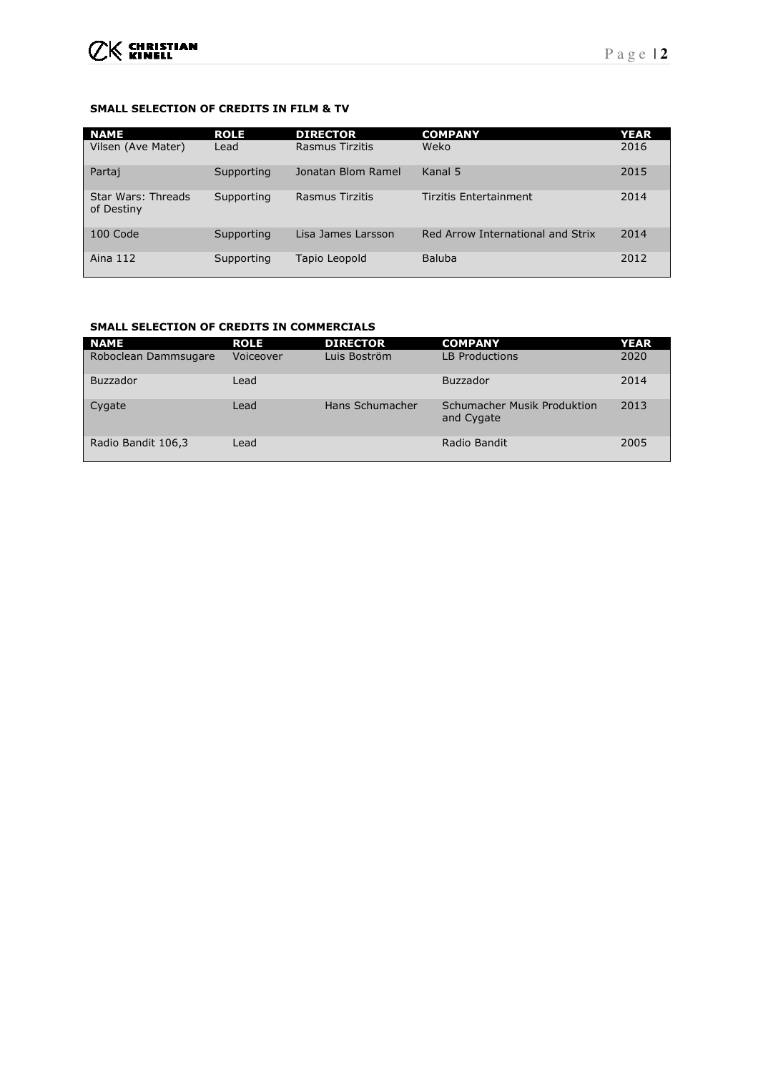## **SMALL SELECTION OF CREDITS IN FILM & TV**

| <b>NAME</b>                             | <b>ROLE</b> | <b>DIRECTOR</b>    | <b>COMPANY</b>                    | <b>YEAR</b> |
|-----------------------------------------|-------------|--------------------|-----------------------------------|-------------|
| Vilsen (Ave Mater)                      | Lead        | Rasmus Tirzitis    | Weko                              | 2016        |
| Partaj                                  | Supporting  | Jonatan Blom Ramel | Kanal 5                           | 2015        |
| <b>Star Wars: Threads</b><br>of Destiny | Supporting  | Rasmus Tirzitis    | Tirzitis Entertainment            | 2014        |
| 100 Code                                | Supporting  | Lisa James Larsson | Red Arrow International and Strix | 2014        |
| Aina 112                                | Supporting  | Tapio Leopold      | Baluba                            | 2012        |

## **SMALL SELECTION OF CREDITS IN COMMERCIALS**

| <b>NAME</b>          | <b>ROLE</b> | <b>DIRECTOR</b> | <b>COMPANY</b>                            | <b>YEAR</b> |
|----------------------|-------------|-----------------|-------------------------------------------|-------------|
| Roboclean Dammsugare | Voiceover   | Luis Boström    | <b>LB Productions</b>                     | 2020        |
| <b>Buzzador</b>      | Lead        |                 | <b>Buzzador</b>                           | 2014        |
| Cygate               | Lead        | Hans Schumacher | Schumacher Musik Produktion<br>and Cygate | 2013        |
| Radio Bandit 106,3   | Lead        |                 | Radio Bandit                              | 2005        |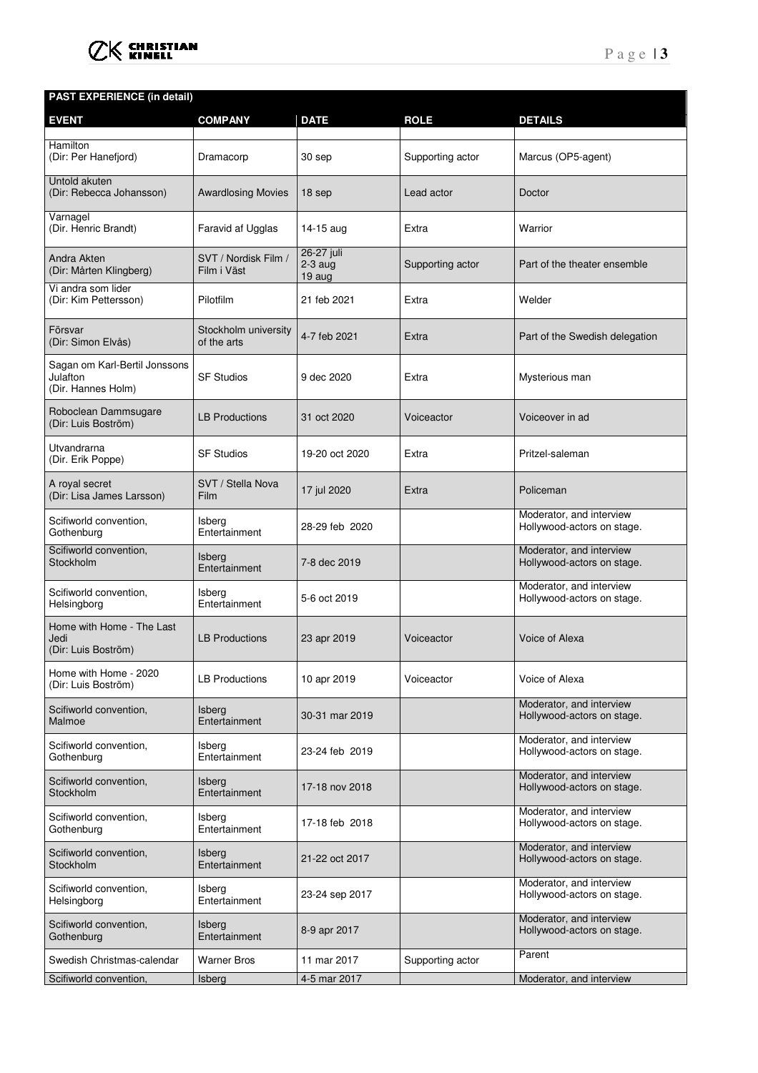

# **PAST EXPERIENCE (in detail)**

| <b>EVENT</b>                                                    | <b>COMPANY</b>                      | <b>DATE</b>                       | <b>ROLE</b>      | <b>DETAILS</b>                                         |
|-----------------------------------------------------------------|-------------------------------------|-----------------------------------|------------------|--------------------------------------------------------|
| Hamilton<br>(Dir: Per Hanefjord)                                | Dramacorp                           | 30 sep                            | Supporting actor | Marcus (OP5-agent)                                     |
| Untold akuten<br>(Dir: Rebecca Johansson)                       | <b>Awardlosing Movies</b>           | 18 sep                            | Lead actor       | Doctor                                                 |
| Varnagel<br>(Dir. Henric Brandt)                                | Faravid af Ugglas                   | 14-15 aug                         | Extra            | Warrior                                                |
| Andra Akten<br>(Dir: Mårten Klingberg)                          | SVT / Nordisk Film /<br>Film i Väst | 26-27 juli<br>$2-3$ aug<br>19 aug | Supporting actor | Part of the theater ensemble                           |
| Vi andra som lider<br>(Dir: Kim Pettersson)                     | Pilotfilm                           | 21 feb 2021                       | Extra            | Welder                                                 |
| Försvar<br>(Dir: Simon Elvås)                                   | Stockholm university<br>of the arts | 4-7 feb 2021                      | Extra            | Part of the Swedish delegation                         |
| Sagan om Karl-Bertil Jonssons<br>Julafton<br>(Dir. Hannes Holm) | <b>SF Studios</b>                   | 9 dec 2020                        | Extra            | Mysterious man                                         |
| Roboclean Dammsugare<br>(Dir: Luis Boström)                     | <b>LB Productions</b>               | 31 oct 2020                       | Voiceactor       | Voiceover in ad                                        |
| Utvandrarna<br>(Dir. Erik Poppe)                                | <b>SF Studios</b>                   | 19-20 oct 2020                    | Extra            | Pritzel-saleman                                        |
| A royal secret<br>(Dir: Lisa James Larsson)                     | SVT / Stella Nova<br>Film           | 17 jul 2020                       | Extra            | Policeman                                              |
| Scifiworld convention,<br>Gothenburg                            | Isberg<br>Entertainment             | 28-29 feb 2020                    |                  | Moderator, and interview<br>Hollywood-actors on stage. |
| Scifiworld convention,<br>Stockholm                             | <b>Isberg</b><br>Entertainment      | 7-8 dec 2019                      |                  | Moderator, and interview<br>Hollywood-actors on stage. |
| Scifiworld convention,<br>Helsingborg                           | Isberg<br>Entertainment             | 5-6 oct 2019                      |                  | Moderator, and interview<br>Hollywood-actors on stage. |
| Home with Home - The Last<br>Jedi<br>(Dir: Luis Boström)        | <b>LB Productions</b>               | 23 apr 2019                       | Voiceactor       | Voice of Alexa                                         |
| Home with Home - 2020<br>(Dir: Luis Boström)                    | LB Productions                      | 10 apr 2019                       | Voiceactor       | Voice of Alexa                                         |
| Scifiworld convention,<br>Malmoe                                | <b>Isberg</b><br>Entertainment      | 30-31 mar 2019                    |                  | Moderator, and interview<br>Hollywood-actors on stage. |
| Scifiworld convention,<br>Gothenburg                            | Isberg<br>Entertainment             | 23-24 feb 2019                    |                  | Moderator, and interview<br>Hollywood-actors on stage. |
| Scifiworld convention,<br>Stockholm                             | Isberg<br>Entertainment             | 17-18 nov 2018                    |                  | Moderator, and interview<br>Hollywood-actors on stage. |
| Scifiworld convention,<br>Gothenburg                            | Isberg<br>Entertainment             | 17-18 feb 2018                    |                  | Moderator, and interview<br>Hollywood-actors on stage. |
| Scifiworld convention,<br>Stockholm                             | <b>Isberg</b><br>Entertainment      | 21-22 oct 2017                    |                  | Moderator, and interview<br>Hollywood-actors on stage. |
| Scifiworld convention,<br>Helsingborg                           | Isberg<br>Entertainment             | 23-24 sep 2017                    |                  | Moderator, and interview<br>Hollywood-actors on stage. |
| Scifiworld convention,<br>Gothenburg                            | Isberg<br>Entertainment             | 8-9 apr 2017                      |                  | Moderator, and interview<br>Hollywood-actors on stage. |
| Swedish Christmas-calendar                                      | <b>Warner Bros</b>                  | 11 mar 2017                       | Supporting actor | Parent                                                 |
| Scifiworld convention,                                          | Isberg                              | 4-5 mar 2017                      |                  | Moderator, and interview                               |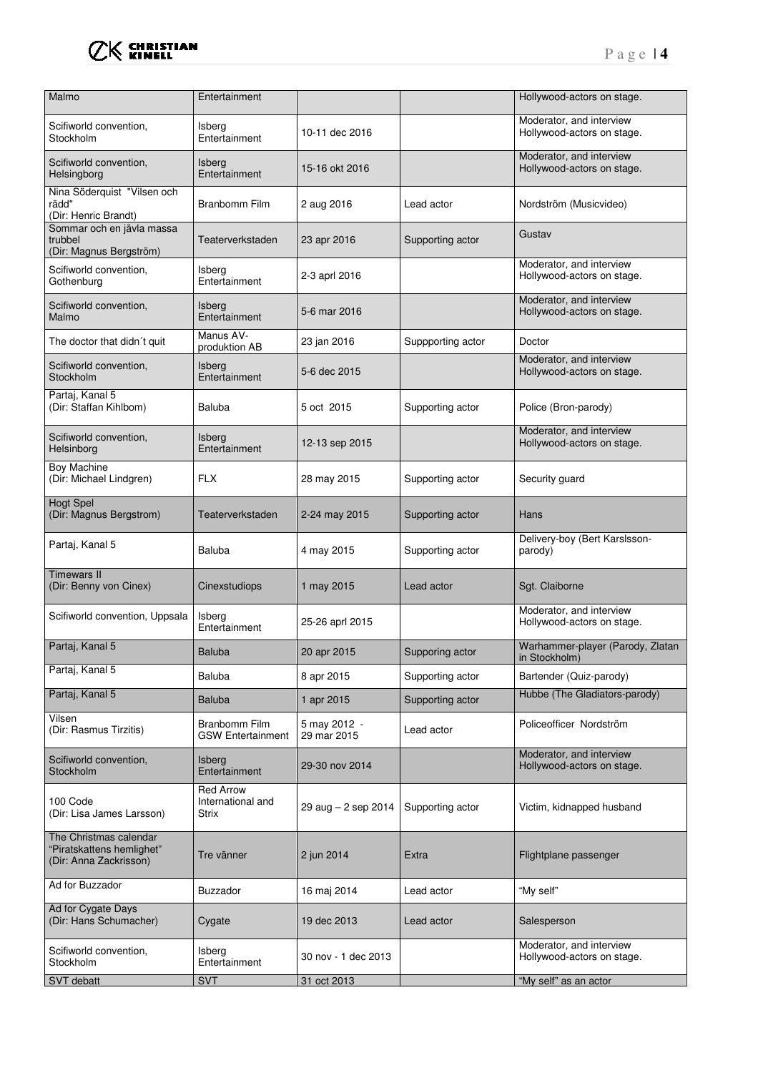

| Malmo                                                                         | Entertainment                                  |                             |                   | Hollywood-actors on stage.                             |
|-------------------------------------------------------------------------------|------------------------------------------------|-----------------------------|-------------------|--------------------------------------------------------|
| Scifiworld convention,<br>Stockholm                                           | Isberg<br>Entertainment                        | 10-11 dec 2016              |                   | Moderator, and interview<br>Hollywood-actors on stage. |
| Scifiworld convention,<br>Helsingborg                                         | Isberg<br>Entertainment                        | 15-16 okt 2016              |                   | Moderator, and interview<br>Hollywood-actors on stage. |
| Nina Söderquist "Vilsen och<br>rädd"<br>(Dir: Henric Brandt)                  | Branbomm Film                                  | 2 aug 2016                  | Lead actor        | Nordström (Musicvideo)                                 |
| Sommar och en jävla massa<br>trubbel<br>(Dir: Magnus Bergström)               | Teaterverkstaden                               | 23 apr 2016                 | Supporting actor  | Gustav                                                 |
| Scifiworld convention,<br>Gothenburg                                          | Isberg<br>Entertainment                        | 2-3 aprl 2016               |                   | Moderator, and interview<br>Hollywood-actors on stage. |
| Scifiworld convention,<br>Malmo                                               | Isberg<br>Entertainment                        | 5-6 mar 2016                |                   | Moderator, and interview<br>Hollywood-actors on stage. |
| The doctor that didn't quit                                                   | Manus AV-<br>produktion AB                     | 23 jan 2016                 | Suppporting actor | Doctor                                                 |
| Scifiworld convention,<br>Stockholm                                           | Isberg<br>Entertainment                        | 5-6 dec 2015                |                   | Moderator, and interview<br>Hollywood-actors on stage. |
| Partaj, Kanal 5<br>(Dir: Staffan Kihlbom)                                     | Baluba                                         | 5 oct 2015                  | Supporting actor  | Police (Bron-parody)                                   |
| Scifiworld convention,<br>Helsinborg                                          | Isberg<br>Entertainment                        | 12-13 sep 2015              |                   | Moderator, and interview<br>Hollywood-actors on stage. |
| Boy Machine<br>(Dir: Michael Lindgren)                                        | FLX                                            | 28 may 2015                 | Supporting actor  | Security guard                                         |
| <b>Hogt Spel</b><br>(Dir: Magnus Bergstrom)                                   | Teaterverkstaden                               | 2-24 may 2015               | Supporting actor  | Hans                                                   |
| Partaj, Kanal 5                                                               | Baluba                                         | 4 may 2015                  | Supporting actor  | Delivery-boy (Bert Karslsson-<br>parody)               |
| <b>Timewars II</b><br>(Dir: Benny von Cinex)                                  | Cinexstudiops                                  | 1 may 2015                  | Lead actor        | Sgt. Claiborne                                         |
| Scifiworld convention, Uppsala                                                | Isberg<br>Entertainment                        | 25-26 aprl 2015             |                   | Moderator, and interview<br>Hollywood-actors on stage. |
| Partaj, Kanal 5                                                               | <b>Baluba</b>                                  | 20 apr 2015                 | Supporing actor   | Warhammer-player (Parody, Zlatan<br>in Stockholm)      |
| Partaj, Kanal 5                                                               | Baluba                                         | 8 apr 2015                  | Supporting actor  | Bartender (Quiz-parody)                                |
| Partaj, Kanal 5                                                               | Baluba                                         | 1 apr 2015                  | Supporting actor  | Hubbe (The Gladiators-parody)                          |
| Vilsen<br>(Dir: Rasmus Tirzitis)                                              | Branbomm Film<br><b>GSW Entertainment</b>      | 5 may 2012 -<br>29 mar 2015 | Lead actor        | Policeofficer Nordström                                |
| Scifiworld convention,<br>Stockholm                                           | <b>Isberg</b><br>Entertainment                 | 29-30 nov 2014              |                   | Moderator, and interview<br>Hollywood-actors on stage. |
| 100 Code<br>(Dir: Lisa James Larsson)                                         | <b>Red Arrow</b><br>International and<br>Strix | 29 aug $-2$ sep 2014        | Supporting actor  | Victim, kidnapped husband                              |
| The Christmas calendar<br>"Piratskattens hemlighet"<br>(Dir: Anna Zackrisson) | Tre vänner                                     | 2 jun 2014                  | Extra             | Flightplane passenger                                  |
| Ad for Buzzador                                                               | Buzzador                                       | 16 maj 2014                 | Lead actor        | "My self"                                              |
| Ad for Cygate Days<br>(Dir: Hans Schumacher)                                  | Cygate                                         | 19 dec 2013                 | Lead actor        | Salesperson                                            |
| Scifiworld convention,<br>Stockholm                                           | Isberg<br>Entertainment                        | 30 nov - 1 dec 2013         |                   | Moderator, and interview<br>Hollywood-actors on stage. |
| SVT debatt                                                                    | <b>SVT</b>                                     | 31 oct 2013                 |                   | "My self" as an actor                                  |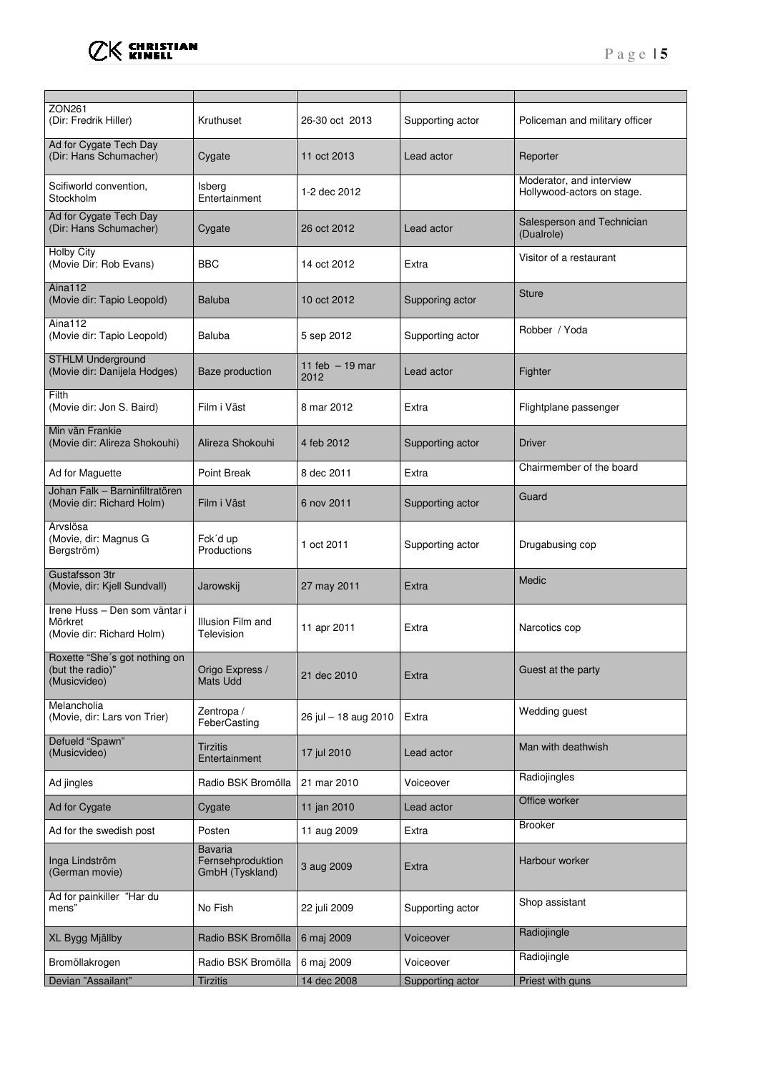

| <b>ZON261</b><br>(Dir: Fredrik Hiller)                                | Kruthuset                                       | 26-30 oct 2013           | Supporting actor | Policeman and military officer                         |
|-----------------------------------------------------------------------|-------------------------------------------------|--------------------------|------------------|--------------------------------------------------------|
| Ad for Cygate Tech Day<br>(Dir: Hans Schumacher)                      | Cygate                                          | 11 oct 2013              | Lead actor       | Reporter                                               |
| Scifiworld convention,<br>Stockholm                                   | Isberg<br>Entertainment                         | 1-2 dec 2012             |                  | Moderator, and interview<br>Hollywood-actors on stage. |
| Ad for Cygate Tech Day<br>(Dir: Hans Schumacher)                      | Cygate                                          | 26 oct 2012              | Lead actor       | Salesperson and Technician<br>(Dualrole)               |
| <b>Holby City</b><br>(Movie Dir: Rob Evans)                           | <b>BBC</b>                                      | 14 oct 2012              | Extra            | Visitor of a restaurant                                |
| Aina112<br>(Movie dir: Tapio Leopold)                                 | <b>Baluba</b>                                   | 10 oct 2012              | Supporing actor  | <b>Sture</b>                                           |
| Aina112<br>(Movie dir: Tapio Leopold)                                 | <b>Baluba</b>                                   | 5 sep 2012               | Supporting actor | Robber / Yoda                                          |
| <b>STHLM Underground</b><br>(Movie dir: Danijela Hodges)              | <b>Baze production</b>                          | 11 feb $-19$ mar<br>2012 | Lead actor       | Fighter                                                |
| Filth<br>(Movie dir: Jon S. Baird)                                    | Film i Väst                                     | 8 mar 2012               | Extra            | Flightplane passenger                                  |
| Min vän Frankie<br>(Movie dir: Alireza Shokouhi)                      | Alireza Shokouhi                                | 4 feb 2012               | Supporting actor | <b>Driver</b>                                          |
| Ad for Maguette                                                       | Point Break                                     | 8 dec 2011               | Extra            | Chairmember of the board                               |
| Johan Falk - Barninfiltratören<br>(Movie dir: Richard Holm)           | Film i Väst                                     | 6 nov 2011               | Supporting actor | Guard                                                  |
| Arvslösa<br>(Movie, dir: Magnus G<br>Bergström)                       | Fck'd up<br>Productions                         | 1 oct 2011               | Supporting actor | Drugabusing cop                                        |
| Gustafsson 3tr<br>(Movie, dir: Kjell Sundvall)                        | Jarowskij                                       | 27 may 2011              | Extra            | Medic                                                  |
| Irene Huss - Den som väntar i<br>Mörkret<br>(Movie dir: Richard Holm) | Illusion Film and<br>Television                 | 11 apr 2011              | Extra            | Narcotics cop                                          |
| Roxette "She's got nothing on<br>(but the radio)"<br>(Musicvideo)     | Origo Express /<br><b>Mats Udd</b>              | 21 dec 2010              | Extra            | Guest at the party                                     |
| Melancholia<br>(Movie, dir: Lars von Trier)                           | Zentropa /<br>FeberCasting                      | 26 jul - 18 aug 2010     | Extra            | Wedding guest                                          |
| Defueld "Spawn"<br>(Musicvideo)                                       | Tirzitis<br>Entertainment                       | 17 jul 2010              | Lead actor       | Man with deathwish                                     |
| Ad jingles                                                            | Radio BSK Bromölla                              | 21 mar 2010              | Voiceover        | Radiojingles                                           |
| Ad for Cygate                                                         | Cygate                                          | 11 jan 2010              | Lead actor       | Office worker                                          |
| Ad for the swedish post                                               | Posten                                          | 11 aug 2009              | Extra            | <b>Brooker</b>                                         |
| Inga Lindström<br>(German movie)                                      | Bavaria<br>Fernsehproduktion<br>GmbH (Tyskland) | 3 aug 2009               | Extra            | Harbour worker                                         |
| Ad for painkiller "Har du<br>mens"                                    | No Fish                                         | 22 juli 2009             | Supporting actor | Shop assistant                                         |
| XL Bygg Mjällby                                                       | Radio BSK Bromölla                              | 6 maj 2009               | Voiceover        | Radiojingle                                            |
| Bromöllakrogen                                                        | Radio BSK Bromölla                              | 6 maj 2009               | Voiceover        | Radiojingle                                            |
| Devian "Assailant"                                                    | <b>Tirzitis</b>                                 | 14 dec 2008              | Supporting actor | Priest with guns                                       |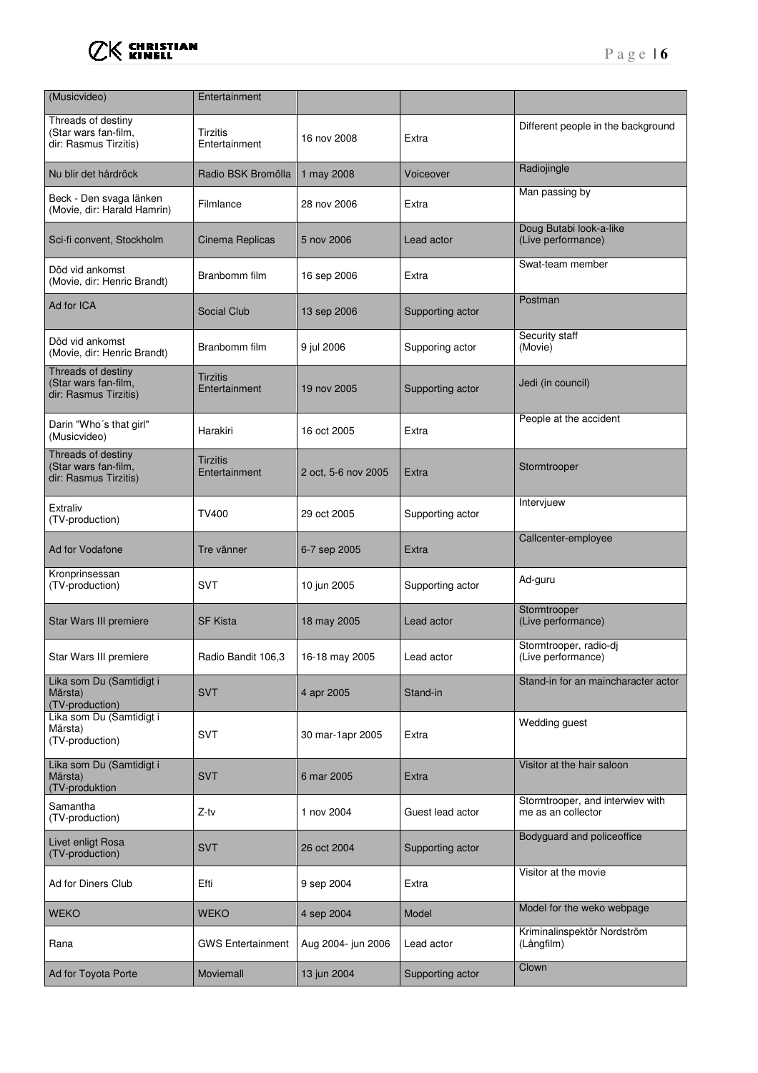

| (Musicvideo)                                                        | Entertainment             |                     |                  |                                                        |
|---------------------------------------------------------------------|---------------------------|---------------------|------------------|--------------------------------------------------------|
| Threads of destiny<br>(Star wars fan-film,<br>dir: Rasmus Tirzitis) | Tirzitis<br>Entertainment | 16 nov 2008         | Extra            | Different people in the background                     |
| Nu blir det hårdröck                                                | Radio BSK Bromölla        | 1 may 2008          | Voiceover        | Radiojingle                                            |
| Beck - Den svaga länken<br>(Movie, dir: Harald Hamrin)              | Filmlance                 | 28 nov 2006         | Extra            | Man passing by                                         |
| Sci-fi convent, Stockholm                                           | Cinema Replicas           | 5 nov 2006          | Lead actor       | Doug Butabi look-a-like<br>(Live performance)          |
| Död vid ankomst<br>(Movie, dir: Henric Brandt)                      | Branbomm film             | 16 sep 2006         | Extra            | Swat-team member                                       |
| Ad for ICA                                                          | <b>Social Club</b>        | 13 sep 2006         | Supporting actor | Postman                                                |
| Död vid ankomst<br>(Movie, dir: Henric Brandt)                      | Branbomm film             | 9 jul 2006          | Supporing actor  | Security staff<br>(Movie)                              |
| Threads of destiny<br>(Star wars fan-film,<br>dir: Rasmus Tirzitis) | Tirzitis<br>Entertainment | 19 nov 2005         | Supporting actor | Jedi (in council)                                      |
| Darin "Who's that girl"<br>(Musicvideo)                             | Harakiri                  | 16 oct 2005         | Extra            | People at the accident                                 |
| Threads of destiny<br>(Star wars fan-film,<br>dir: Rasmus Tirzitis) | Tirzitis<br>Entertainment | 2 oct, 5-6 nov 2005 | Extra            | Stormtrooper                                           |
| Extraliv<br>(TV-production)                                         | TV400                     | 29 oct 2005         | Supporting actor | Intervjuew                                             |
| Ad for Vodafone                                                     | Tre vänner                | 6-7 sep 2005        | Extra            | Callcenter-employee                                    |
| Kronprinsessan<br>(TV-production)                                   | <b>SVT</b>                | 10 jun 2005         | Supporting actor | Ad-guru                                                |
| Star Wars III premiere                                              | <b>SF Kista</b>           | 18 may 2005         | Lead actor       | Stormtrooper<br>(Live performance)                     |
| Star Wars III premiere                                              | Radio Bandit 106,3        | 16-18 may 2005      | Lead actor       | Stormtrooper, radio-dj<br>(Live performance)           |
| Lika som Du (Samtidigt i<br>Märsta)<br>(TV-production)              | <b>SVT</b>                | 4 apr 2005          | Stand-in         | Stand-in for an maincharacter actor                    |
| Lika som Du (Samtidigt i<br>Märsta)<br>(TV-production)              | <b>SVT</b>                | 30 mar-1apr 2005    | Extra            | Wedding guest                                          |
| Lika som Du (Samtidigt i<br>Märsta)<br>(TV-produktion               | <b>SVT</b>                | 6 mar 2005          | Extra            | Visitor at the hair saloon                             |
| Samantha<br>(TV-production)                                         | Z-tv                      | 1 nov 2004          | Guest lead actor | Stormtrooper, and interwiev with<br>me as an collector |
| Livet enligt Rosa<br>(TV-production)                                | <b>SVT</b>                | 26 oct 2004         | Supporting actor | Bodyguard and policeoffice                             |
| Ad for Diners Club                                                  | Efti                      | 9 sep 2004          | Extra            | Visitor at the movie                                   |
| <b>WEKO</b>                                                         | <b>WEKO</b>               | 4 sep 2004          | Model            | Model for the weko webpage                             |
| Rana                                                                | <b>GWS Entertainment</b>  | Aug 2004- jun 2006  | Lead actor       | Kriminalinspektör Nordström<br>(Långfilm)              |
| Ad for Toyota Porte                                                 | Moviemall                 | 13 jun 2004         | Supporting actor | Clown                                                  |